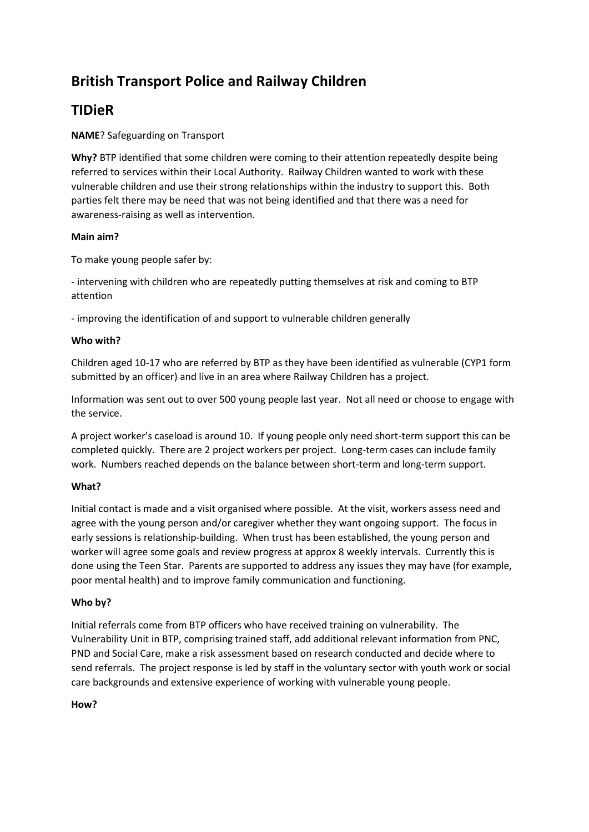# **British Transport Police and Railway Children**

## **TIDieR**

## **NAME**? Safeguarding on Transport

**Why?** BTP identified that some children were coming to their attention repeatedly despite being referred to services within their Local Authority. Railway Children wanted to work with these vulnerable children and use their strong relationships within the industry to support this. Both parties felt there may be need that was not being identified and that there was a need for awareness-raising as well as intervention.

#### **Main aim?**

To make young people safer by:

- intervening with children who are repeatedly putting themselves at risk and coming to BTP attention

- improving the identification of and support to vulnerable children generally

## **Who with?**

Children aged 10-17 who are referred by BTP as they have been identified as vulnerable (CYP1 form submitted by an officer) and live in an area where Railway Children has a project.

Information was sent out to over 500 young people last year. Not all need or choose to engage with the service.

A project worker's caseload is around 10. If young people only need short-term support this can be completed quickly. There are 2 project workers per project. Long-term cases can include family work. Numbers reached depends on the balance between short-term and long-term support.

#### **What?**

Initial contact is made and a visit organised where possible. At the visit, workers assess need and agree with the young person and/or caregiver whether they want ongoing support. The focus in early sessions is relationship-building. When trust has been established, the young person and worker will agree some goals and review progress at approx 8 weekly intervals. Currently this is done using the Teen Star. Parents are supported to address any issues they may have (for example, poor mental health) and to improve family communication and functioning.

#### **Who by?**

Initial referrals come from BTP officers who have received training on vulnerability. The Vulnerability Unit in BTP, comprising trained staff, add additional relevant information from PNC, PND and Social Care, make a risk assessment based on research conducted and decide where to send referrals. The project response is led by staff in the voluntary sector with youth work or social care backgrounds and extensive experience of working with vulnerable young people.

#### **How?**